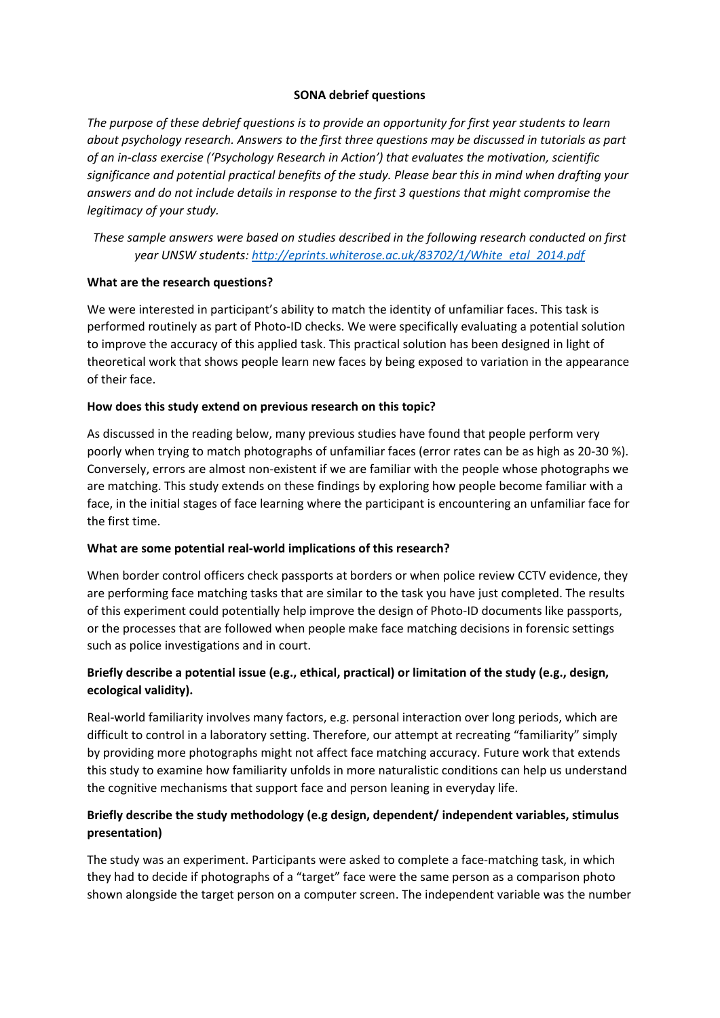### **SONA debrief questions**

*The purpose of these debrief questions is to provide an opportunity for first year students to learn about psychology research. Answers to the first three questions may be discussed in tutorials as part of an in-class exercise ('Psychology Research in Action') that evaluates the motivation, scientific significance and potential practical benefits of the study. Please bear this in mind when drafting your answers and do not include details in response to the first 3 questions that might compromise the legitimacy of your study.* 

*These sample answers were based on studies described in the following research conducted on first year UNSW students: [http://eprints.whiterose.ac.uk/83702/1/White\\_etal\\_2014.pdf](http://eprints.whiterose.ac.uk/83702/1/White_etal_2014.pdf)*

#### **What are the research questions?**

We were interested in participant's ability to match the identity of unfamiliar faces. This task is performed routinely as part of Photo-ID checks. We were specifically evaluating a potential solution to improve the accuracy of this applied task. This practical solution has been designed in light of theoretical work that shows people learn new faces by being exposed to variation in the appearance of their face.

#### **How does this study extend on previous research on this topic?**

As discussed in the reading below, many previous studies have found that people perform very poorly when trying to match photographs of unfamiliar faces (error rates can be as high as 20-30 %). Conversely, errors are almost non-existent if we are familiar with the people whose photographs we are matching. This study extends on these findings by exploring how people become familiar with a face, in the initial stages of face learning where the participant is encountering an unfamiliar face for the first time.

#### **What are some potential real-world implications of this research?**

When border control officers check passports at borders or when police review CCTV evidence, they are performing face matching tasks that are similar to the task you have just completed. The results of this experiment could potentially help improve the design of Photo-ID documents like passports, or the processes that are followed when people make face matching decisions in forensic settings such as police investigations and in court.

# **Briefly describe a potential issue (e.g., ethical, practical) or limitation of the study (e.g., design, ecological validity).**

Real-world familiarity involves many factors, e.g. personal interaction over long periods, which are difficult to control in a laboratory setting. Therefore, our attempt at recreating "familiarity" simply by providing more photographs might not affect face matching accuracy. Future work that extends this study to examine how familiarity unfolds in more naturalistic conditions can help us understand the cognitive mechanisms that support face and person leaning in everyday life.

## **Briefly describe the study methodology (e.g design, dependent/ independent variables, stimulus presentation)**

The study was an experiment. Participants were asked to complete a face-matching task, in which they had to decide if photographs of a "target" face were the same person as a comparison photo shown alongside the target person on a computer screen. The independent variable was the number